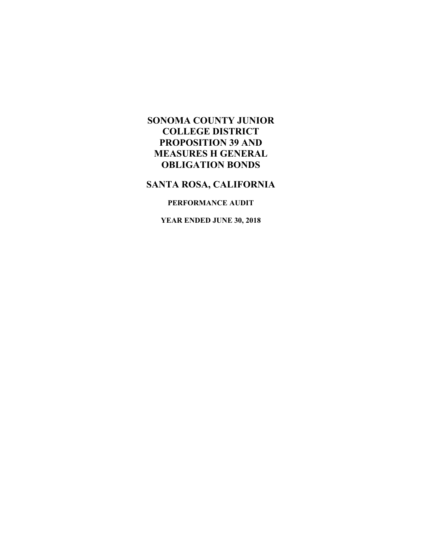### **SANTA ROSA, CALIFORNIA**

### **PERFORMANCE AUDIT**

**YEAR ENDED JUNE 30, 2018**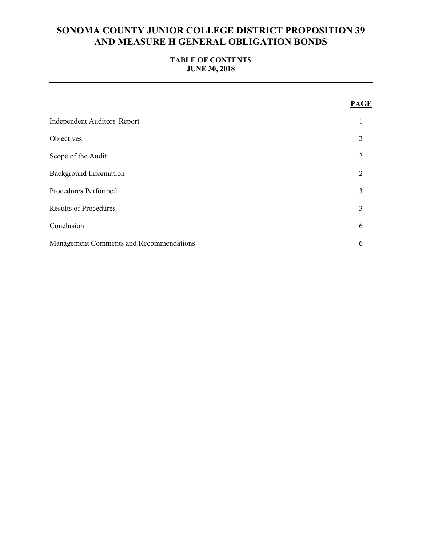### **TABLE OF CONTENTS JUNE 30, 2018**

|                                         | <b>PAGE</b>    |
|-----------------------------------------|----------------|
| <b>Independent Auditors' Report</b>     |                |
| Objectives                              | $\overline{2}$ |
| Scope of the Audit                      | $\overline{2}$ |
| <b>Background Information</b>           | $\overline{2}$ |
| Procedures Performed                    | 3              |
| <b>Results of Procedures</b>            | 3              |
| Conclusion                              | 6              |
| Management Comments and Recommendations | 6              |
|                                         |                |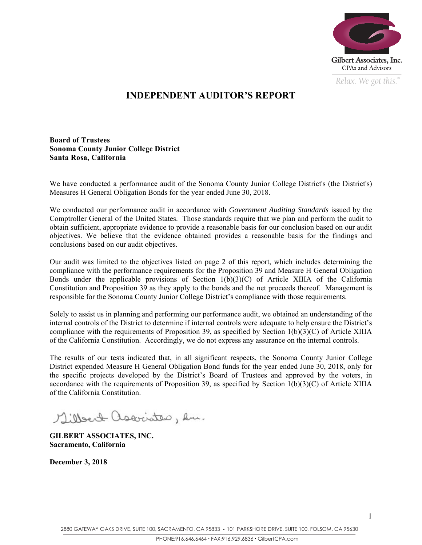

*Relax. We got this.*  $\alpha$ 

# **INDEPENDENT AUDITOR'S REPORT**

**Board of Trustees Sonoma County Junior College District Santa Rosa, California** 

We have conducted a performance audit of the Sonoma County Junior College District's (the District's) Measures H General Obligation Bonds for the year ended June 30, 2018.

We conducted our performance audit in accordance with *Government Auditing Standards* issued by the Comptroller General of the United States. Those standards require that we plan and perform the audit to obtain sufficient, appropriate evidence to provide a reasonable basis for our conclusion based on our audit objectives. We believe that the evidence obtained provides a reasonable basis for the findings and conclusions based on our audit objectives.

Our audit was limited to the objectives listed on page 2 of this report, which includes determining the compliance with the performance requirements for the Proposition 39 and Measure H General Obligation Bonds under the applicable provisions of Section  $1(b)(3)(C)$  of Article XIIIA of the California Constitution and Proposition 39 as they apply to the bonds and the net proceeds thereof. Management is responsible for the Sonoma County Junior College District's compliance with those requirements.

Solely to assist us in planning and performing our performance audit, we obtained an understanding of the internal controls of the District to determine if internal controls were adequate to help ensure the District's compliance with the requirements of Proposition 39, as specified by Section 1(b)(3)(C) of Article XIIIA of the California Constitution. Accordingly, we do not express any assurance on the internal controls.

The results of our tests indicated that, in all significant respects, the Sonoma County Junior College District expended Measure H General Obligation Bond funds for the year ended June 30, 2018, only for the specific projects developed by the District's Board of Trustees and approved by the voters, in accordance with the requirements of Proposition 39, as specified by Section 1(b)(3)(C) of Article XIIIA of the California Constitution.

Milleat associates, en.

**GILBERT ASSOCIATES, INC. Sacramento, California** 

**December 3, 2018**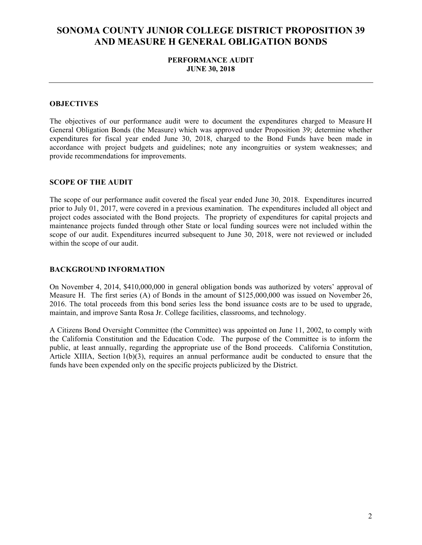### **PERFORMANCE AUDIT JUNE 30, 2018**

#### **OBJECTIVES**

The objectives of our performance audit were to document the expenditures charged to Measure H General Obligation Bonds (the Measure) which was approved under Proposition 39; determine whether expenditures for fiscal year ended June 30, 2018, charged to the Bond Funds have been made in accordance with project budgets and guidelines; note any incongruities or system weaknesses; and provide recommendations for improvements.

#### **SCOPE OF THE AUDIT**

The scope of our performance audit covered the fiscal year ended June 30, 2018. Expenditures incurred prior to July 01, 2017, were covered in a previous examination. The expenditures included all object and project codes associated with the Bond projects. The propriety of expenditures for capital projects and maintenance projects funded through other State or local funding sources were not included within the scope of our audit. Expenditures incurred subsequent to June 30, 2018, were not reviewed or included within the scope of our audit.

#### **BACKGROUND INFORMATION**

On November 4, 2014, \$410,000,000 in general obligation bonds was authorized by voters' approval of Measure H. The first series (A) of Bonds in the amount of \$125,000,000 was issued on November 26, 2016. The total proceeds from this bond series less the bond issuance costs are to be used to upgrade, maintain, and improve Santa Rosa Jr. College facilities, classrooms, and technology.

A Citizens Bond Oversight Committee (the Committee) was appointed on June 11, 2002, to comply with the California Constitution and the Education Code. The purpose of the Committee is to inform the public, at least annually, regarding the appropriate use of the Bond proceeds. California Constitution, Article XIIIA, Section  $1(b)(3)$ , requires an annual performance audit be conducted to ensure that the funds have been expended only on the specific projects publicized by the District.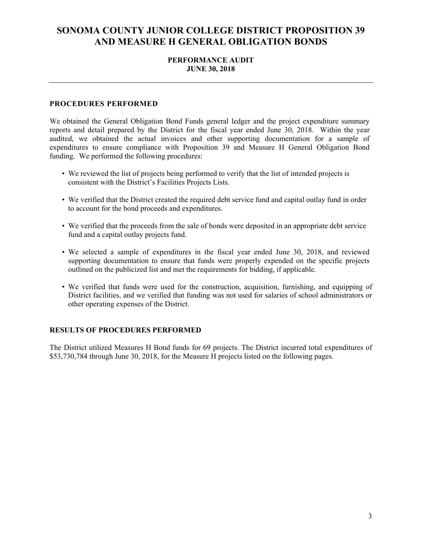### **PERFORMANCE AUDIT JUNE 30, 2018**

#### **PROCEDURES PERFORMED**

We obtained the General Obligation Bond Funds general ledger and the project expenditure summary reports and detail prepared by the District for the fiscal year ended June 30, 2018. Within the year audited, we obtained the actual invoices and other supporting documentation for a sample of expenditures to ensure compliance with Proposition 39 and Measure H General Obligation Bond funding. We performed the following procedures:

- We reviewed the list of projects being performed to verify that the list of intended projects is consistent with the District's Facilities Projects Lists.
- We verified that the District created the required debt service fund and capital outlay fund in order to account for the bond proceeds and expenditures.
- We verified that the proceeds from the sale of bonds were deposited in an appropriate debt service fund and a capital outlay projects fund.
- We selected a sample of expenditures in the fiscal year ended June 30, 2018, and reviewed supporting documentation to ensure that funds were properly expended on the specific projects outlined on the publicized list and met the requirements for bidding, if applicable.
- We verified that funds were used for the construction, acquisition, furnishing, and equipping of District facilities, and we verified that funding was not used for salaries of school administrators or other operating expenses of the District.

#### **RESULTS OF PROCEDURES PERFORMED**

The District utilized Measures H Bond funds for 69 projects. The District incurred total expenditures of \$53,730,784 through June 30, 2018, for the Measure H projects listed on the following pages.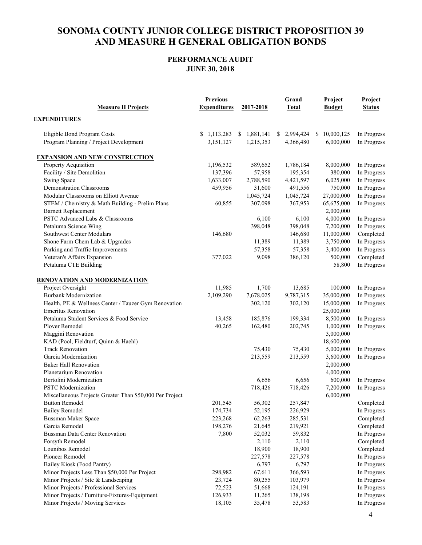### **PERFORMANCE AUDIT JUNE 30, 2018**

| <b>Measure H Projects</b>                                | <b>Previous</b><br><b>Expenditures</b> | 2017-2018   | Grand<br><b>Total</b> | Project<br><b>Budget</b> | Project<br><b>Status</b> |
|----------------------------------------------------------|----------------------------------------|-------------|-----------------------|--------------------------|--------------------------|
| <b>EXPENDITURES</b>                                      |                                        |             |                       |                          |                          |
| Eligible Bond Program Costs                              | \$1,113,283                            | \$1,881,141 | \$2,994,424           | \$10,000,125             | In Progress              |
| Program Planning / Project Development                   | 3,151,127                              | 1,215,353   | 4,366,480             | 6,000,000                | In Progress              |
| <b>EXPANSION AND NEW CONSTRUCTION</b>                    |                                        |             |                       |                          |                          |
| Property Acquisition                                     | 1,196,532                              | 589,652     | 1,786,184             | 8,000,000                | In Progress              |
| Facility / Site Demolition                               | 137,396                                | 57,958      | 195,354               | 380,000                  | In Progress              |
| Swing Space                                              | 1,633,007                              | 2,788,590   | 4,421,597             | 6,025,000                | In Progress              |
| <b>Demonstration Classrooms</b>                          | 459,956                                | 31,600      | 491,556               | 750,000                  | In Progress              |
| Modular Classrooms on Elliott Avenue                     |                                        | 1,045,724   | 1,045,724             | 27,000,000               | In Progress              |
| STEM / Chemistry & Math Building - Prelim Plans          | 60,855                                 | 307,098     | 367,953               | 65,675,000               | In Progress              |
| <b>Barnett Replacement</b>                               |                                        |             |                       | 2,000,000                |                          |
| PSTC Advanced Labs & Classrooms                          |                                        | 6,100       | 6,100                 | 4,000,000                | In Progress              |
| Petaluma Science Wing                                    |                                        | 398,048     | 398,048               | 7,200,000                | In Progress              |
| Southwest Center Modulars                                | 146,680                                |             | 146,680               | 11,000,000               | Completed                |
| Shone Farm Chem Lab & Upgrades                           |                                        | 11,389      | 11,389                | 3,750,000                | In Progress              |
| Parking and Traffic Improvements                         |                                        | 57,358      | 57,358                | 3,400,000                | In Progress              |
| Veteran's Affairs Expansion                              | 377,022                                | 9,098       | 386,120               | 500,000                  | Completed                |
| Petaluma CTE Building                                    |                                        |             |                       | 58,800                   | In Progress              |
| <b>RENOVATION AND MODERNIZATION</b>                      |                                        |             |                       |                          |                          |
| Project Oversight                                        | 11,985                                 | 1,700       | 13,685                | 100,000                  | In Progress              |
| <b>Burbank Modernization</b>                             | 2,109,290                              | 7,678,025   | 9,787,315             | 35,000,000               | In Progress              |
| Health, PE & Wellness Center / Tauzer Gym Renovation     |                                        | 302,120     | 302,120               | 15,000,000               | In Progress              |
| <b>Emeritus Renovation</b>                               |                                        |             |                       | 25,000,000               |                          |
| Petaluma Student Services & Food Service                 | 13,458                                 | 185,876     | 199,334               | 8,500,000                | In Progress              |
| Plover Remodel                                           | 40,265                                 | 162,480     | 202,745               | 1,000,000                | In Progress              |
| Maggini Renovation                                       |                                        |             |                       | 3,000,000                |                          |
| KAD (Pool, Fieldturf, Quinn & Haehl)                     |                                        |             |                       | 18,600,000               |                          |
| <b>Track Renovation</b>                                  |                                        | 75,430      | 75,430                | 5,000,000                | In Progress              |
| Garcia Modernization                                     |                                        | 213,559     | 213,559               | 3,600,000                | In Progress              |
| <b>Baker Hall Renovation</b>                             |                                        |             |                       | 2,000,000                |                          |
| Planetarium Renovation                                   |                                        |             |                       | 4,000,000                |                          |
| Bertolini Modernization                                  |                                        | 6,656       | 6,656                 | 600,000                  | In Progress              |
| <b>PSTC</b> Modernization                                |                                        | 718,426     | 718,426               | 7,200,000                | In Progress              |
| Miscellaneous Projects Greater Than \$50,000 Per Project |                                        |             |                       | 6,000,000                |                          |
| <b>Button Remodel</b>                                    | 201,545                                | 56,302      | 257,847               |                          | Completed                |
| <b>Bailey Remodel</b>                                    | 174,734                                | 52,195      | 226,929               |                          | In Progress              |
| Bussman Maker Space                                      | 223,268                                | 62,263      | 285,531               |                          | Completed                |
| Garcia Remodel                                           | 198,276                                | 21,645      | 219,921               |                          | Completed                |
| Bussman Data Center Renovation                           | 7,800                                  | 52,032      | 59,832                |                          | In Progress              |
| Forsyth Remodel                                          |                                        | 2,110       | 2,110                 |                          | Completed                |
| Lounibos Remodel                                         |                                        | 18,900      | 18,900                |                          | Completed                |
| Pioneer Remodel                                          |                                        | 227,578     | 227,578               |                          | In Progress              |
| Bailey Kiosk (Food Pantry)                               |                                        | 6,797       | 6,797                 |                          | In Progress              |
| Minor Projects Less Than \$50,000 Per Project            | 298,982                                | 67,611      | 366,593               |                          | In Progress              |
| Minor Projects / Site & Landscaping                      | 23,724                                 | 80,255      | 103,979               |                          | In Progress              |
| Minor Projects / Professional Services                   | 72,523                                 | 51,668      | 124,191               |                          | In Progress              |
| Minor Projects / Furniture-Fixtures-Equipment            | 126,933                                | 11,265      | 138,198               |                          | In Progress              |
| Minor Projects / Moving Services                         | 18,105                                 | 35,478      | 53,583                |                          | In Progress              |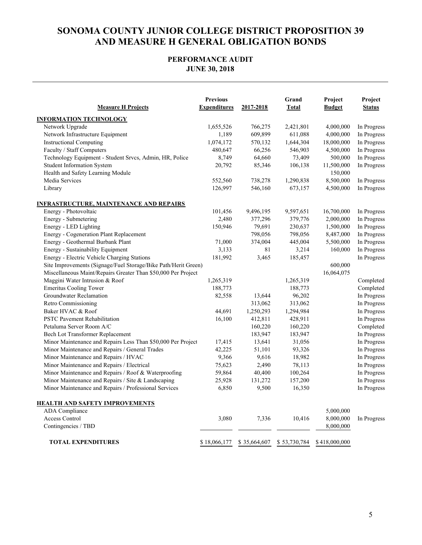### **PERFORMANCE AUDIT JUNE 30, 2018**

| <b>Measure H Projects</b>                                      | <b>Previous</b><br><b>Expenditures</b> | 2017-2018    | Grand<br><b>Total</b> | Project<br><b>Budget</b> | Project<br><b>Status</b> |
|----------------------------------------------------------------|----------------------------------------|--------------|-----------------------|--------------------------|--------------------------|
| <b>INFORMATION TECHNOLOGY</b>                                  |                                        |              |                       |                          |                          |
| Network Upgrade                                                | 1,655,526                              | 766,275      | 2,421,801             | 4,000,000                | In Progress              |
| Network Infrastructure Equipment                               | 1,189                                  | 609,899      | 611,088               | 4,000,000                | In Progress              |
| <b>Instructional Computing</b>                                 | 1,074,172                              | 570,132      | 1,644,304             | 18,000,000               | In Progress              |
| Faculty / Staff Computers                                      | 480,647                                | 66,256       | 546,903               | 4,500,000                | In Progress              |
| Technology Equipment - Student Srvcs, Admin, HR, Police        | 8,749                                  | 64,660       | 73,409                | 500,000                  | In Progress              |
| <b>Student Information System</b>                              | 20,792                                 | 85,346       | 106,138               | 11,500,000               | In Progress              |
| Health and Safety Learning Module                              |                                        |              |                       | 150,000                  |                          |
| Media Services                                                 | 552,560                                | 738,278      | 1,290,838             | 8,500,000                | In Progress              |
| Library                                                        | 126,997                                | 546,160      | 673,157               | 4,500,000                | In Progress              |
| <b>INFRASTRUCTURE, MAINTENANCE AND REPAIRS</b>                 |                                        |              |                       |                          |                          |
| Energy - Photovoltaic                                          | 101,456                                | 9,496,195    | 9,597,651             | 16,700,000               | In Progress              |
| Energy - Submetering                                           | 2,480                                  | 377,296      | 379,776               | 2,000,000                | In Progress              |
| Energy - LED Lighting                                          | 150,946                                | 79,691       | 230,637               | 1,500,000                | In Progress              |
| Energy - Cogeneration Plant Replacement                        |                                        | 798,056      | 798,056               | 8,487,000                | In Progress              |
| Energy - Geothermal Burbank Plant                              | 71,000                                 | 374,004      | 445,004               | 5,500,000                | In Progress              |
| Energy - Sustainability Equipment                              | 3,133                                  | 81           | 3,214                 | 160,000                  | In Progress              |
| Energy - Electric Vehicle Charging Stations                    | 181,992                                | 3,465        | 185,457               |                          | In Progress              |
| Site Improvements (Signage/Fuel Storage/Bike Path/Herit Green) |                                        |              |                       | 600,000                  |                          |
| Miscellaneous Maint/Repairs Greater Than \$50,000 Per Project  |                                        |              |                       | 16,064,075               |                          |
| Maggini Water Intrusion & Roof                                 | 1,265,319                              |              | 1,265,319             |                          | Completed                |
| <b>Emeritus Cooling Tower</b>                                  | 188,773                                |              | 188,773               |                          | Completed                |
| Groundwater Reclamation                                        | 82,558                                 | 13,644       | 96,202                |                          | In Progress              |
| Retro Commissioning                                            |                                        | 313,062      | 313,062               |                          | In Progress              |
| Baker HVAC & Roof                                              | 44,691                                 | 1,250,293    | 1,294,984             |                          | In Progress              |
| <b>PSTC Pavement Rehabilitation</b>                            | 16,100                                 | 412,811      | 428,911               |                          | In Progress              |
| Petaluma Server Room A/C                                       |                                        | 160,220      | 160,220               |                          | Completed                |
| Bech Lot Transformer Replacement                               |                                        | 183,947      | 183,947               |                          | In Progress              |
| Minor Maintenance and Repairs Less Than \$50,000 Per Project   | 17,415                                 | 13,641       | 31,056                |                          | In Progress              |
| Minor Maintenance and Repairs / General Trades                 | 42,225                                 | 51,101       | 93,326                |                          | In Progress              |
| Minor Maintenance and Repairs / HVAC                           | 9,366                                  | 9,616        | 18,982                |                          | In Progress              |
| Minor Maintenance and Repairs / Electrical                     | 75,623                                 | 2,490        | 78,113                |                          | In Progress              |
| Minor Maintenance and Repairs / Roof & Waterproofing           | 59,864                                 | 40,400       | 100,264               |                          | In Progress              |
| Minor Maintenance and Repairs / Site & Landscaping             | 25,928                                 | 131,272      | 157,200               |                          | In Progress              |
| Minor Maintenance and Repairs / Professional Services          | 6,850                                  | 9,500        | 16,350                |                          | In Progress              |
| <b>HEALTH AND SAFETY IMPROVEMENTS</b>                          |                                        |              |                       |                          |                          |
| <b>ADA</b> Compliance                                          |                                        |              |                       | 5,000,000                |                          |
| Access Control                                                 | 3,080                                  | 7,336        | 10,416                | 8,000,000                | In Progress              |
| Contingencies / TBD                                            |                                        |              |                       | 8,000,000                |                          |
| <b>TOTAL EXPENDITURES</b>                                      | \$18,066,177                           | \$35,664,607 | \$53,730,784          | \$418,000,000            |                          |